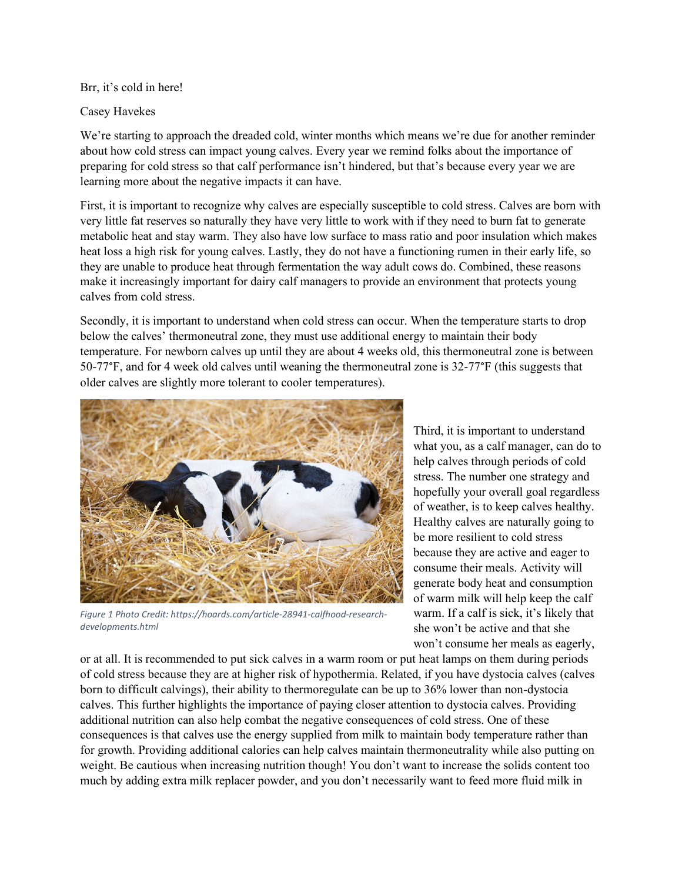Brr, it's cold in here!

## Casey Havekes

We're starting to approach the dreaded cold, winter months which means we're due for another reminder about how cold stress can impact young calves. Every year we remind folks about the importance of preparing for cold stress so that calf performance isn't hindered, but that's because every year we are learning more about the negative impacts it can have.

First, it is important to recognize why calves are especially susceptible to cold stress. Calves are born with very little fat reserves so naturally they have very little to work with if they need to burn fat to generate metabolic heat and stay warm. They also have low surface to mass ratio and poor insulation which makes heat loss a high risk for young calves. Lastly, they do not have a functioning rumen in their early life, so they are unable to produce heat through fermentation the way adult cows do. Combined, these reasons make it increasingly important for dairy calf managers to provide an environment that protects young calves from cold stress.

Secondly, it is important to understand when cold stress can occur. When the temperature starts to drop below the calves' thermoneutral zone, they must use additional energy to maintain their body temperature. For newborn calves up until they are about 4 weeks old, this thermoneutral zone is between 50-77°F, and for 4 week old calves until weaning the thermoneutral zone is 32-77°F (this suggests that older calves are slightly more tolerant to cooler temperatures).



*Figure 1 Photo Credit: https://hoards.com/article-28941-calfhood-researchdevelopments.html*

Third, it is important to understand what you, as a calf manager, can do to help calves through periods of cold stress. The number one strategy and hopefully your overall goal regardless of weather, is to keep calves healthy. Healthy calves are naturally going to be more resilient to cold stress because they are active and eager to consume their meals. Activity will generate body heat and consumption of warm milk will help keep the calf warm. If a calf is sick, it's likely that she won't be active and that she won't consume her meals as eagerly,

or at all. It is recommended to put sick calves in a warm room or put heat lamps on them during periods of cold stress because they are at higher risk of hypothermia. Related, if you have dystocia calves (calves born to difficult calvings), their ability to thermoregulate can be up to 36% lower than non-dystocia calves. This further highlights the importance of paying closer attention to dystocia calves. Providing additional nutrition can also help combat the negative consequences of cold stress. One of these consequences is that calves use the energy supplied from milk to maintain body temperature rather than for growth. Providing additional calories can help calves maintain thermoneutrality while also putting on weight. Be cautious when increasing nutrition though! You don't want to increase the solids content too much by adding extra milk replacer powder, and you don't necessarily want to feed more fluid milk in